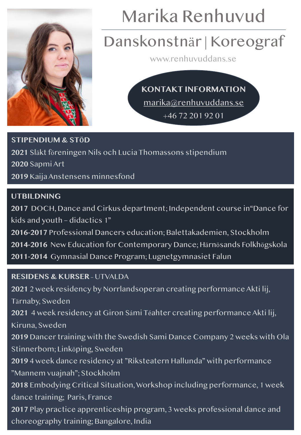

# Marika Renhuvud

### Danskonstnär | Koreograf

www.renhuvuddans.se

**[KONTAKT INFORMATION](mailto:marika@renhuvuddans.se)** marika@renhuvuddans.se +46 72 201 92 01

**STIPENDIUM & STÖD** Släkt föreningen Nils och Lucia Thomassons stipendium Sapmi Art Kaija Anstensens minnesfond

### **UTBILDNING**

**2017** DOCH, Dance and Cirkus department; Independent course in"Dance for kids and youth – didactics 1" **2016-2017** Professional Dancers education; Balettakademien, Stockholm **2014-2016** New Education for Contemporary Dance; Härnösands Folkhögskola **2011-2014** Gymnasial Dance Program; Lugnetgymnasiet Falun

### **RESIDENS & KURSER –** UTVALDA

**2021** 2 week residency by Norrlandsoperan creating performance Akti lij, Tärnaby, Sweden **2021** 4 week residency at Giron Sámi Téahter creating performance Akti lij, Kiruna, Sweden **2019** Dancer training with the Swedish Sami Dance Company 2 weeks with Ola Stinnerbom; Linköping, Sweden **2019** 4 week dance residency at "Riksteatern Hallunda" with performance "Mannem vuajnah"; Stockholm **2018** Embodying Critical Situation, Workshop including performance, 1 week dance training; Paris, France **2017** Play practice apprenticeship program, 3 weeks professional dance and choreography training; Bangalore, India